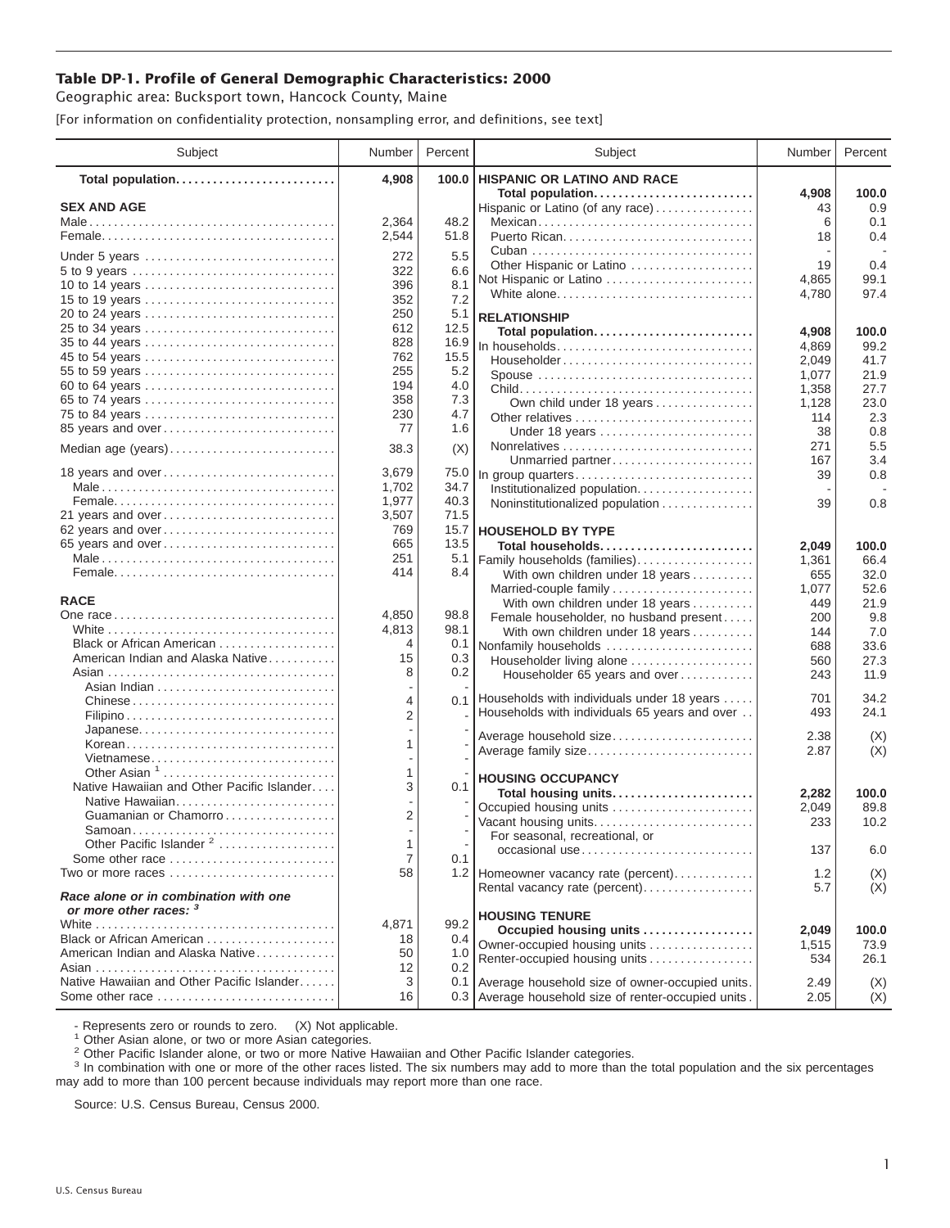## **Table DP-1. Profile of General Demographic Characteristics: 2000**

Geographic area: Bucksport town, Hancock County, Maine

[For information on confidentiality protection, nonsampling error, and definitions, see text]

| Subject                                                         | Number | Percent | Subject                                              | Number  | Percent    |
|-----------------------------------------------------------------|--------|---------|------------------------------------------------------|---------|------------|
| Total population                                                | 4,908  | 100.0   | <b>HISPANIC OR LATINO AND RACE</b>                   |         |            |
|                                                                 |        |         | Total population                                     | 4,908   | 100.0      |
| <b>SEX AND AGE</b>                                              | 2,364  | 48.2    | Hispanic or Latino (of any race)                     | 43      | 0.9<br>0.1 |
|                                                                 | 2,544  | 51.8    | Mexican                                              | 6<br>18 | 0.4        |
|                                                                 |        |         |                                                      |         |            |
| Under 5 years                                                   | 272    | 5.5     | Other Hispanic or Latino                             | 19      | 0.4        |
|                                                                 | 322    | 6.6     | Not Hispanic or Latino                               | 4,865   | 99.1       |
| 10 to 14 years                                                  | 396    | 8.1     | White alone                                          | 4,780   | 97.4       |
| 15 to 19 years                                                  | 352    | 7.2     |                                                      |         |            |
| 20 to 24 years                                                  | 250    | 5.1     | <b>RELATIONSHIP</b>                                  |         |            |
| 25 to 34 years                                                  | 612    | 12.5    | Total population                                     | 4,908   | 100.0      |
|                                                                 | 828    | 16.9    | In households                                        | 4,869   | 99.2       |
| 45 to 54 years                                                  | 762    | 15.5    | Householder                                          | 2,049   | 41.7       |
| 55 to 59 years                                                  | 255    | 5.2     | Spouse                                               | 1,077   | 21.9       |
| 60 to 64 years                                                  | 194    | 4.0     |                                                      | 1,358   | 27.7       |
| 65 to 74 years                                                  | 358    | 7.3     | Own child under 18 years                             | 1,128   | 23.0       |
| 75 to 84 years                                                  | 230    | 4.7     | Other relatives                                      | 114     | 2.3        |
| 85 years and over                                               | 77     | 1.6     | Under 18 years                                       | 38      | 0.8        |
| Median age (years)                                              | 38.3   | (X)     |                                                      | 271     | 5.5        |
|                                                                 |        |         | Unmarried partner                                    | 167     | 3.4        |
| 18 years and over                                               | 3,679  | 75.0    | In group quarters                                    | 39      | 0.8        |
|                                                                 | 1,702  | 34.7    | Institutionalized population                         |         |            |
|                                                                 | 1,977  | 40.3    | Noninstitutionalized population                      | 39      | 0.8        |
| 21 years and over                                               | 3,507  | 71.5    |                                                      |         |            |
| 62 years and over                                               | 769    | 15.7    | <b>HOUSEHOLD BY TYPE</b>                             |         |            |
| 65 years and over                                               | 665    | 13.5    | Total households                                     | 2,049   | 100.0      |
|                                                                 | 251    | 5.1     | Family households (families)                         | 1,361   | 66.4       |
|                                                                 | 414    | 8.4     | With own children under 18 years                     | 655     | 32.0       |
|                                                                 |        |         | Married-couple family                                | 1,077   | 52.6       |
| <b>RACE</b>                                                     |        |         | With own children under 18 years                     | 449     | 21.9       |
|                                                                 | 4,850  | 98.8    | Female householder, no husband present               | 200     | 9.8        |
|                                                                 | 4,813  | 98.1    | With own children under 18 years                     | 144     | 7.0        |
| Black or African American                                       | 4      | 0.1     | Nonfamily households                                 | 688     | 33.6       |
| American Indian and Alaska Native                               | 15     | 0.3     | Householder living alone                             | 560     | 27.3       |
|                                                                 | 8      | 0.2     | Householder 65 years and over                        | 243     | 11.9       |
|                                                                 |        |         | 0.1 Households with individuals under 18 years       | 701     | 34.2       |
| Chinese                                                         | 4      |         | Households with individuals 65 years and over        | 493     | 24.1       |
|                                                                 | 2      |         |                                                      |         |            |
| Japanese                                                        |        |         | Average household size                               | 2.38    | (X)        |
| Korean                                                          | 1      |         | Average family size                                  | 2.87    | (X)        |
| Vietnamese<br>Other Asian <sup>1</sup>                          | 1      |         |                                                      |         |            |
| Native Hawaiian and Other Pacific Islander                      | 3      | 0.1     | <b>HOUSING OCCUPANCY</b>                             |         |            |
| Native Hawaiian                                                 |        |         | Total housing units                                  | 2,282   | 100.0      |
| Guamanian or Chamorro                                           | 2      |         | Occupied housing units                               | 2,049   | 89.8       |
|                                                                 |        |         | Vacant housing units                                 | 233     | 10.2       |
| Other Pacific Islander <sup>2</sup>                             | 1      |         | For seasonal, recreational, or                       |         |            |
| Some other race                                                 | 7      | 0.1     | occasional use                                       | 137     | 6.0        |
| Two or more races                                               | 58     |         |                                                      | 1.2     |            |
|                                                                 |        |         | 1.2 Homeowner vacancy rate (percent)                 | 5.7     | (X)<br>(X) |
| Race alone or in combination with one<br>or more other races: 3 |        |         | Rental vacancy rate (percent)                        |         |            |
|                                                                 | 4,871  | 99.2    | <b>HOUSING TENURE</b>                                |         |            |
| Black or African American                                       | 18     | 0.4     | Occupied housing units                               | 2,049   | 100.0      |
| American Indian and Alaska Native                               | 50     | 1.0     | Owner-occupied housing units                         | 1,515   | 73.9       |
|                                                                 | 12     | 0.2     | Renter-occupied housing units                        | 534     | 26.1       |
| Native Hawaiian and Other Pacific Islander                      | 3      |         | 0.1 Average household size of owner-occupied units.  | 2.49    | (X)        |
| Some other race                                                 | 16     |         | 0.3 Average household size of renter-occupied units. | 2.05    | (X)        |
|                                                                 |        |         |                                                      |         |            |

- Represents zero or rounds to zero. (X) Not applicable.<br><sup>1</sup> Other Asian alone, or two or more Asian categories.

<sup>2</sup> Other Pacific Islander alone, or two or more Native Hawaiian and Other Pacific Islander categories.<br><sup>3</sup> In combination with one or more of the other races listed. The six numbers may add to more than the total populati may add to more than 100 percent because individuals may report more than one race.

Source: U.S. Census Bureau, Census 2000.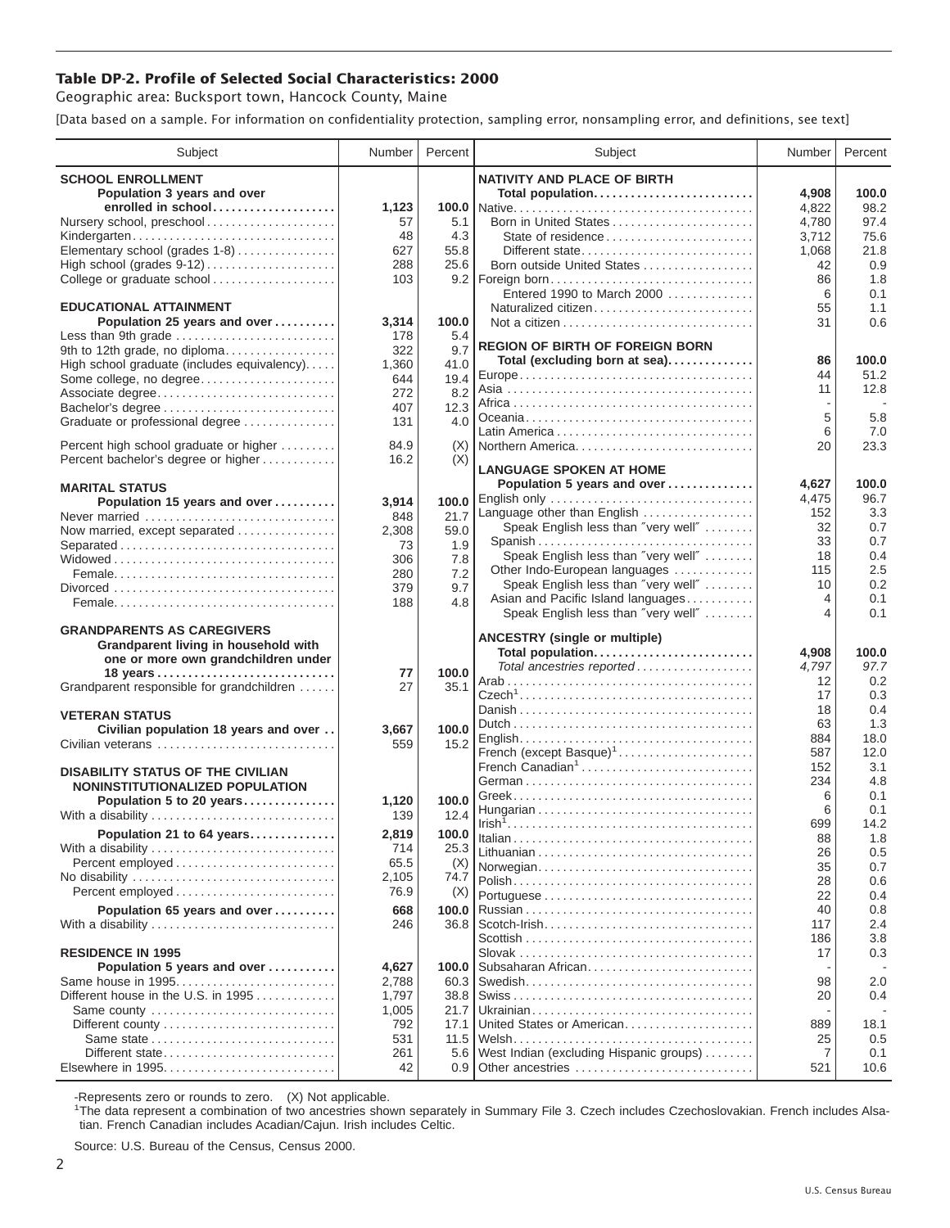## **Table DP-2. Profile of Selected Social Characteristics: 2000**

Geographic area: Bucksport town, Hancock County, Maine

[Data based on a sample. For information on confidentiality protection, sampling error, nonsampling error, and definitions, see text]

| Subject                                     | Number     | Percent       | Subject                                                            | Number     | Percent    |
|---------------------------------------------|------------|---------------|--------------------------------------------------------------------|------------|------------|
| <b>SCHOOL ENROLLMENT</b>                    |            |               | <b>NATIVITY AND PLACE OF BIRTH</b>                                 |            |            |
| Population 3 years and over                 |            |               | Total population                                                   | 4,908      | 100.0      |
| enrolled in school                          | 1,123      |               |                                                                    | 4,822      | 98.2       |
| Nursery school, preschool                   | 57         | 5.1           | Born in United States                                              | 4,780      | 97.4       |
| Kindergarten                                | 48         | 4.3           | State of residence                                                 | 3,712      | 75.6       |
| Elementary school (grades 1-8)              | 627        | 55.8          | Different state                                                    | 1,068      | 21.8       |
|                                             | 288        | 25.6          | Born outside United States                                         | 42         | 0.9        |
| College or graduate school                  | 103        |               | 9.2   Foreign born<br>Entered 1990 to March 2000                   | 86<br>6    | 1.8<br>0.1 |
| <b>EDUCATIONAL ATTAINMENT</b>               |            |               | Naturalized citizen                                                | 55         | 1.1        |
| Population 25 years and over                | 3,314      | 100.0         |                                                                    | 31         | 0.6        |
| Less than 9th grade                         | 178        | 5.4           |                                                                    |            |            |
| 9th to 12th grade, no diploma               | 322        | 9.7           | <b>REGION OF BIRTH OF FOREIGN BORN</b>                             |            |            |
| High school graduate (includes equivalency) | 1,360      | 41.0          | Total (excluding born at sea)                                      | 86         | 100.0      |
| Some college, no degree                     | 644        | 19.4          |                                                                    | 44         | 51.2       |
| Associate degree                            | 272        | 8.2           |                                                                    | 11         | 12.8       |
| Bachelor's degree                           | 407        | 12.3          |                                                                    | 5          | 5.8        |
| Graduate or professional degree             | 131        | 4.0           |                                                                    | 6          | 7.0        |
| Percent high school graduate or higher      | 84.9       | (X)           | Northern America                                                   | 20         | 23.3       |
| Percent bachelor's degree or higher         | 16.2       | (X)           |                                                                    |            |            |
|                                             |            |               | <b>LANGUAGE SPOKEN AT HOME</b>                                     |            |            |
| <b>MARITAL STATUS</b>                       |            |               | Population 5 years and over                                        | 4,627      | 100.0      |
| Population 15 years and over                | 3,914      | 100.0         | English only                                                       | 4,475      | 96.7       |
| Never married                               | 848        | 21.7          | Language other than English<br>Speak English less than "very well" | 152        | 3.3        |
| Now married, except separated               | 2,308      | 59.0          | Spanish                                                            | 32<br>33   | 0.7<br>0.7 |
| Separated                                   | 73         | 1.9           | Speak English less than "very well"                                | 18         | 0.4        |
|                                             | 306        | 7.8           | Other Indo-European languages                                      | 115        | 2.5        |
|                                             | 280<br>379 | 7.2<br>9.7    | Speak English less than "very well"                                | 10         | 0.2        |
|                                             | 188        | 4.8           | Asian and Pacific Island languages                                 | 4          | 0.1        |
|                                             |            |               | Speak English less than "very well"                                | 4          | 0.1        |
| <b>GRANDPARENTS AS CAREGIVERS</b>           |            |               | <b>ANCESTRY (single or multiple)</b>                               |            |            |
| Grandparent living in household with        |            |               | Total population                                                   | 4,908      | 100.0      |
| one or more own grandchildren under         |            |               | Total ancestries reported                                          | 4,797      | 97.7       |
| 18 years                                    | 77<br>27   | 100.0<br>35.1 |                                                                    | 12         | 0.2        |
| Grandparent responsible for grandchildren   |            |               |                                                                    | 17         | 0.3        |
| <b>VETERAN STATUS</b>                       |            |               |                                                                    | 18         | 0.4        |
| Civilian population 18 years and over       | 3,667      | 100.0         |                                                                    | 63         | 1.3        |
| Civilian veterans                           | 559        | 15.2          |                                                                    | 884        | 18.0       |
|                                             |            |               | French (except Basque) <sup>1</sup>                                | 587        | 12.0       |
| <b>DISABILITY STATUS OF THE CIVILIAN</b>    |            |               | French Canadian <sup>1</sup>                                       | 152<br>234 | 3.1<br>4.8 |
| NONINSTITUTIONALIZED POPULATION             |            |               |                                                                    | 6          | 0.1        |
| Population 5 to 20 years                    | 1,120      | 100.0         |                                                                    | 6          | 0.1        |
| With a disability                           | 139        | 12.4          |                                                                    | 699        | 14.2       |
| Population 21 to 64 years                   | 2,819      | 100.0         |                                                                    | 88         | 1.8        |
| With a disability                           | 714        | 25.3          |                                                                    | 26         | 0.5        |
| Percent employed                            | 65.5       | (X)           | Norwegian                                                          | 35         | 0.7        |
| No disability                               | 2,105      | 74.7          |                                                                    | 28         | 0.6        |
| Percent employed                            | 76.9       | (X)           |                                                                    | 22         | 0.4        |
| Population 65 years and over                | 668        | 100.0         |                                                                    | 40         | 0.8        |
| With a disability                           | 246        | 36.8          | $Scott$ -Irish                                                     | 117        | 2.4        |
| <b>RESIDENCE IN 1995</b>                    |            |               |                                                                    | 186<br>17  | 3.8<br>0.3 |
| Population 5 years and over                 | 4,627      | 100.0         | Subsaharan African                                                 |            |            |
| Same house in 1995                          | 2,788      | 60.3          |                                                                    | 98         | 2.0        |
| Different house in the U.S. in 1995         | 1,797      | 38.8          |                                                                    | 20         | 0.4        |
| Same county                                 | 1,005      | 21.7          |                                                                    |            |            |
|                                             | 792        | 17.1          | United States or American                                          | 889        | 18.1       |
|                                             | 531        | 11.5          |                                                                    | 25         | 0.5        |
| Different state                             | 261        | 5.6           | West Indian (excluding Hispanic groups)                            | 7          | 0.1        |
|                                             | 42         | $0.9 \mid$    | Other ancestries                                                   | 521        | 10.6       |

-Represents zero or rounds to zero. (X) Not applicable. 1 The data represent a combination of two ancestries shown separately in Summary File 3. Czech includes Czechoslovakian. French includes Alsatian. French Canadian includes Acadian/Cajun. Irish includes Celtic.

Source: U.S. Bureau of the Census, Census 2000.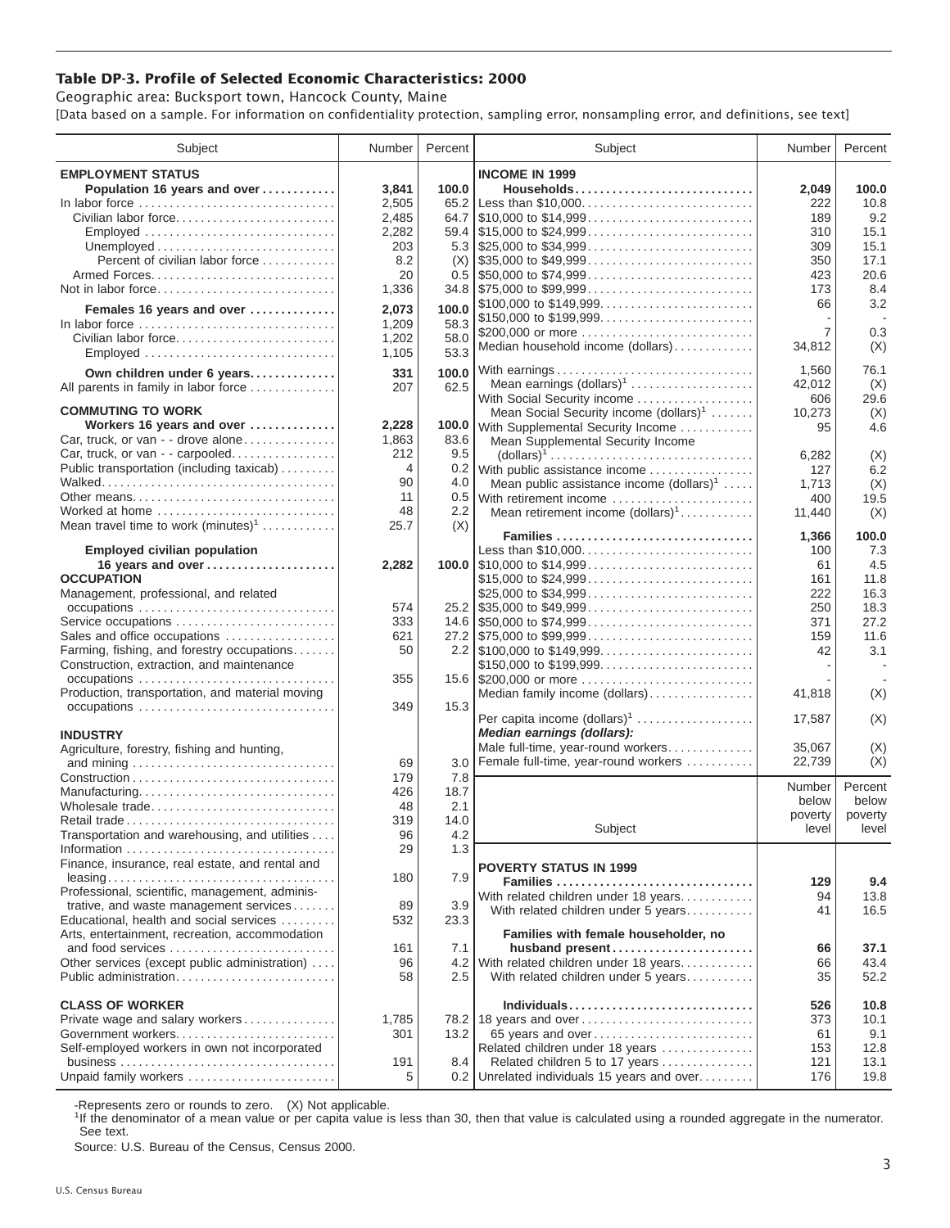## **Table DP-3. Profile of Selected Economic Characteristics: 2000**

Geographic area: Bucksport town, Hancock County, Maine [Data based on a sample. For information on confidentiality protection, sampling error, nonsampling error, and definitions, see text]

| Subject                                                  | Number | Percent | Subject                                                                                | Number         | Percent    |
|----------------------------------------------------------|--------|---------|----------------------------------------------------------------------------------------|----------------|------------|
| <b>EMPLOYMENT STATUS</b>                                 |        |         | <b>INCOME IN 1999</b>                                                                  |                |            |
| Population 16 years and over                             | 3,841  | 100.0   | Households                                                                             | 2,049          | 100.0      |
| In labor force                                           | 2,505  |         | 65.2 Less than \$10,000                                                                | 222            | 10.8       |
| Civilian labor force                                     | 2,485  |         |                                                                                        | 189            | 9.2        |
|                                                          |        |         |                                                                                        |                | 15.1       |
| Employed                                                 | 2,282  |         |                                                                                        | 310            |            |
|                                                          | 203    |         |                                                                                        | 309            | 15.1       |
| Percent of civilian labor force                          | 8.2    |         | $(X)$ \\ \$35,000 to \$49,999                                                          | 350            | 17.1       |
|                                                          | 20     |         | $0.5$   \$50,000 to \$74,999                                                           | 423            | 20.6       |
| Not in labor force                                       | 1,336  |         | $34.8$ \\ \$75,000 to \$99,999                                                         | 173            | 8.4        |
| Females 16 years and over                                | 2,073  | 100.0   |                                                                                        | 66             | 3.2        |
| In labor force                                           | 1,209  | 58.3    | \$150,000 to \$199,999                                                                 |                |            |
| Civilian labor force                                     | 1,202  | 58.0    | \$200,000 or more                                                                      | $\overline{7}$ | 0.3        |
| Employed                                                 | 1,105  | 53.3    | Median household income (dollars)                                                      | 34,812         | (X)        |
|                                                          |        |         |                                                                                        |                |            |
| Own children under 6 years                               | 331    | 100.0   | With earnings                                                                          | 1,560          | 76.1       |
| All parents in family in labor force                     | 207    | 62.5    | Mean earnings $(dollars)1 \ldots \ldots \ldots \ldots \ldots$                          | 42,012         | (X)        |
| <b>COMMUTING TO WORK</b>                                 |        |         | With Social Security income                                                            | 606            | 29.6       |
|                                                          |        |         | Mean Social Security income $(dollars)^1$                                              | 10,273         | (X)        |
| Workers 16 years and over                                | 2,228  |         | 100.0 With Supplemental Security Income                                                | 95             | 4.6        |
| Car, truck, or van - - drove alone                       | 1,863  | 83.6    | Mean Supplemental Security Income                                                      |                |            |
| Car, truck, or van - - carpooled                         | 212    | 9.5     | $\text{(dollars)}^1 \dots \dots \dots \dots \dots \dots \dots \dots \dots \dots \dots$ | 6,282          | (X)        |
| Public transportation (including taxicab)                | 4      |         | 0.2 With public assistance income                                                      | 127            | 6.2        |
|                                                          | 90     | 4.0     | Mean public assistance income $(dollars)1 \ldots$ .                                    | 1,713          | (X)        |
| Other means                                              | 11     |         | 0.5 With retirement income                                                             | 400            | 19.5       |
| Worked at home                                           | 48     | 2.2     | Mean retirement income $(dollars)1$                                                    | 11,440         | (X)        |
| Mean travel time to work $(minutes)^1$                   | 25.7   | (X)     | Families                                                                               |                |            |
|                                                          |        |         |                                                                                        | 1,366          | 100.0      |
| <b>Employed civilian population</b><br>16 years and over |        |         | Less than \$10,000                                                                     | 100            | 7.3<br>4.5 |
| <b>OCCUPATION</b>                                        | 2,282  |         |                                                                                        | 61             |            |
|                                                          |        |         | \$15,000 to \$24,999                                                                   | 161            | 11.8       |
| Management, professional, and related                    |        |         | \$25,000 to \$34,999                                                                   | 222            | 16.3       |
| occupations                                              | 574    |         |                                                                                        | 250            | 18.3       |
| Service occupations                                      | 333    |         |                                                                                        | 371            | 27.2       |
| Sales and office occupations                             | 621    |         |                                                                                        | 159            | 11.6       |
| Farming, fishing, and forestry occupations               | 50     |         |                                                                                        | 42             | 3.1        |
| Construction, extraction, and maintenance                |        |         | \$150,000 to \$199,999                                                                 |                |            |
|                                                          | 355    |         | 15.6 \$200,000 or more                                                                 |                |            |
| Production, transportation, and material moving          |        |         | Median family income (dollars)                                                         | 41,818         | (X)        |
|                                                          | 349    | 15.3    | Per capita income $(dollars)1$                                                         | 17,587         | (X)        |
|                                                          |        |         | Median earnings (dollars):                                                             |                |            |
| <b>INDUSTRY</b>                                          |        |         | Male full-time, year-round workers                                                     | 35,067         | (X)        |
| Agriculture, forestry, fishing and hunting,              | 69     | 3.0     | Female full-time, year-round workers                                                   | 22,739         | (X)        |
|                                                          | 179    | 7.8     |                                                                                        |                |            |
| Manufacturing                                            | 426    | 18.7    |                                                                                        | Number         | Percent    |
| Wholesale trade                                          | 48     | 2.1     |                                                                                        | below          | below      |
|                                                          | 319    | 14.0    |                                                                                        | poverty        | poverty    |
| Transportation and warehousing, and utilities            | 96     | 4.2     | Subject                                                                                | level          | level      |
|                                                          | 29     | 1.3     |                                                                                        |                |            |
| Finance, insurance, real estate, and rental and          |        |         |                                                                                        |                |            |
|                                                          | 180    | 7.9     | <b>POVERTY STATUS IN 1999</b>                                                          |                |            |
| Professional, scientific, management, adminis-           |        |         | Families                                                                               | 129            | 9.4        |
| trative, and waste management services                   | 89     | 3.9     | With related children under 18 years                                                   | 94             | 13.8       |
| Educational, health and social services                  | 532    | 23.3    | With related children under 5 years                                                    | 41             | 16.5       |
| Arts, entertainment, recreation, accommodation           |        |         | Families with female householder, no                                                   |                |            |
| and food services                                        | 161    | 7.1     | husband present                                                                        | 66             | 37.1       |
|                                                          | 96     |         | 4.2 With related children under 18 years                                               | 66             | 43.4       |
| Other services (except public administration)            |        |         |                                                                                        |                |            |
| Public administration                                    | 58     | 2.5     | With related children under 5 years                                                    | 35             | 52.2       |
| <b>CLASS OF WORKER</b>                                   |        |         | Individuals                                                                            | 526            | 10.8       |
| Private wage and salary workers                          | 1,785  |         | 78.2 18 years and over                                                                 | 373            | 10.1       |
|                                                          | 301    | 13.2    | 65 years and over                                                                      | 61             | 9.1        |
| Self-employed workers in own not incorporated            |        |         | Related children under 18 years                                                        | 153            | 12.8       |
|                                                          | 191    | 8.4     | Related children 5 to 17 years                                                         |                | 13.1       |
| Unpaid family workers                                    | 5      |         | 0.2 Unrelated individuals 15 years and over                                            | 121<br>176     | 19.8       |
|                                                          |        |         |                                                                                        |                |            |

-Represents zero or rounds to zero. (X) Not applicable.

<sup>1</sup>If the denominator of a mean value or per capita value is less than 30, then that value is calculated using a rounded aggregate in the numerator. See text.

Source: U.S. Bureau of the Census, Census 2000.